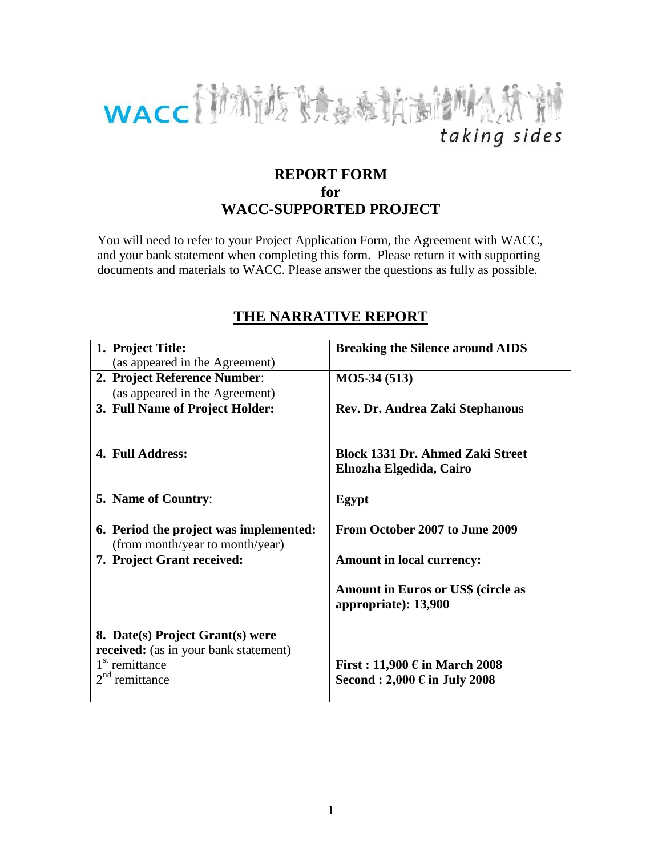

# **REPORT FORM for WACC-SUPPORTED PROJECT**

You will need to refer to your Project Application Form, the Agreement with WACC, and your bank statement when completing this form. Please return it with supporting documents and materials to WACC. Please answer the questions as fully as possible.

| 1. Project Title:                      | <b>Breaking the Silence around AIDS</b>                           |
|----------------------------------------|-------------------------------------------------------------------|
| (as appeared in the Agreement)         |                                                                   |
| 2. Project Reference Number:           | $MO5-34(513)$                                                     |
| (as appeared in the Agreement)         |                                                                   |
| 3. Full Name of Project Holder:        | Rev. Dr. Andrea Zaki Stephanous                                   |
|                                        |                                                                   |
| 4. Full Address:                       | <b>Block 1331 Dr. Ahmed Zaki Street</b>                           |
|                                        | Elnozha Elgedida, Cairo                                           |
| <b>5. Name of Country:</b>             | Egypt                                                             |
| 6. Period the project was implemented: | From October 2007 to June 2009                                    |
| (from month/year to month/year)        |                                                                   |
| 7. Project Grant received:             | <b>Amount in local currency:</b>                                  |
|                                        | <b>Amount in Euros or US\$ (circle as</b><br>appropriate): 13,900 |
| 8. Date(s) Project Grant(s) were       |                                                                   |
| received: (as in your bank statement)  |                                                                   |
| 1 <sup>st</sup> remittance             | First: $11,900 \in$ in March 2008                                 |
| remittance                             | Second : $2,000 \in$ in July 2008                                 |

# **THE NARRATIVE REPORT**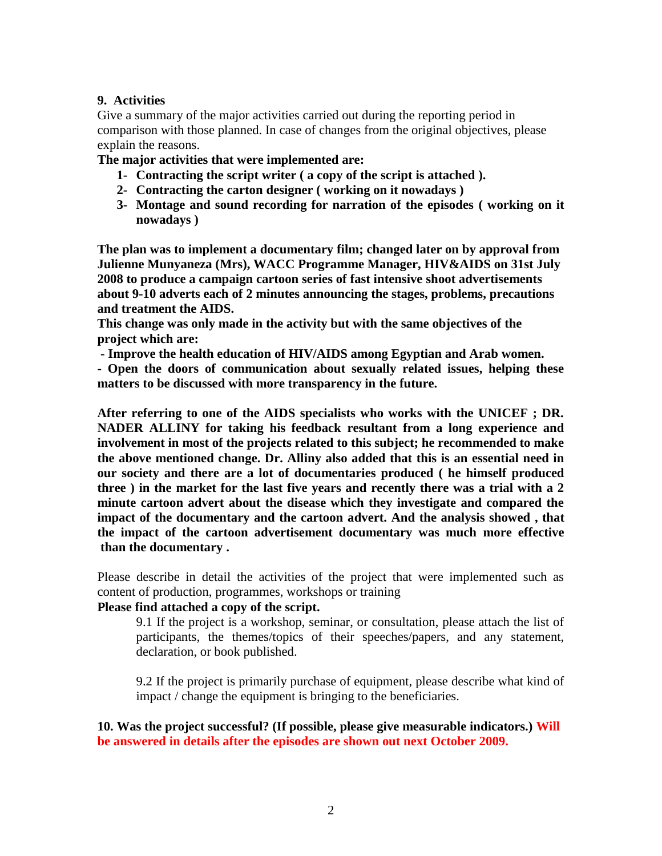## **9. Activities**

Give a summary of the major activities carried out during the reporting period in comparison with those planned. In case of changes from the original objectives, please explain the reasons.

**The major activities that were implemented are:**

- **1- Contracting the script writer ( a copy of the script is attached ).**
- **2- Contracting the carton designer ( working on it nowadays )**
- **3- Montage and sound recording for narration of the episodes ( working on it nowadays )**

**The plan was to implement a documentary film; changed later on by approval from Julienne Munyaneza (Mrs), WACC Programme Manager, HIV&AIDS on 31st July 2008 to produce a campaign cartoon series of fast intensive shoot advertisements about 9-10 adverts each of 2 minutes announcing the stages, problems, precautions and treatment the AIDS.** 

**This change was only made in the activity but with the same objectives of the project which are:**

**- Improve the health education of HIV/AIDS among Egyptian and Arab women.**

**- Open the doors of communication about sexually related issues, helping these matters to be discussed with more transparency in the future.**

**After referring to one of the AIDS specialists who works with the UNICEF ; DR. NADER ALLINY for taking his feedback resultant from a long experience and involvement in most of the projects related to this subject; he recommended to make the above mentioned change. Dr. Alliny also added that this is an essential need in our society and there are a lot of documentaries produced ( he himself produced three ) in the market for the last five years and recently there was a trial with a 2 minute cartoon advert about the disease which they investigate and compared the impact of the documentary and the cartoon advert. And the analysis showed , that the impact of the cartoon advertisement documentary was much more effective than the documentary .**

Please describe in detail the activities of the project that were implemented such as content of production, programmes, workshops or training

## **Please find attached a copy of the script.**

9.1 If the project is a workshop, seminar, or consultation, please attach the list of participants, the themes/topics of their speeches/papers, and any statement, declaration, or book published.

9.2 If the project is primarily purchase of equipment, please describe what kind of impact / change the equipment is bringing to the beneficiaries.

**10. Was the project successful? (If possible, please give measurable indicators.) Will be answered in details after the episodes are shown out next October 2009.**